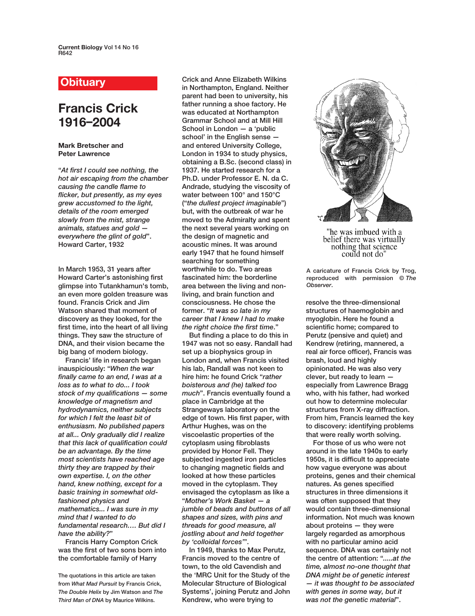## **Obituary**

## **Francis Crick 1916–2004**

## **Mark Bretscher and Peter Lawrence**

**"***At first I could see nothing, the hot air escaping from the chamber causing the candle flame to flicker, but presently, as my eyes grew accustomed to the light, details of the room emerged slowly from the mist, strange animals, statues and gold everywhere the glint of gold***". Howard Carter, 1932**

**In March 1953, 31 years after Howard Carter's astonishing first glimpse into Tutankhamun's tomb, an even more golden treasure was found. Francis Crick and Jim Watson shared that moment of discovery as they looked, for the first time, into the heart of all living things. They saw the structure of DNA, and their vision became the big bang of modern biology.**

**Francis' life in research began inauspiciously: "***When the war finally came to an end, I was at a loss as to what to do... I took stock of my qualifications — some knowledge of magnetism and hydrodynamics, neither subjects for which I felt the least bit of enthusiasm. No published papers at all... Only gradually did I realize that this lack of qualification could be an advantage. By the time most scientists have reached age thirty they are trapped by their own expertise. I, on the other hand, knew nothing, except for a basic training in somewhat oldfashioned physics and mathematics... I was sure in my mind that I wanted to do fundamental research…. But did I have the ability?***"**

**Francis Harry Compton Crick was the first of two sons born into the comfortable family of Harry**

**The quotations in this article are taken from** *What Mad Pursuit* **by Francis Crick,** *The Double Helix* **by Jim Watson and** *The Third Man of DNA* **by Maurice Wilkins.**

**Crick and Anne Elizabeth Wilkins in Northampton, England. Neither parent had been to university, his father running a shoe factory. He was educated at Northampton Grammar School and at Mill Hill School in London — a 'public school' in the English sense and entered University College, London in 1934 to study physics, obtaining a B.Sc. (second class) in 1937. He started research for a Ph.D. under Professor E. N. da C. Andrade, studying the viscosity of water between 100° and 150°C ("***the dullest project imaginable***") but, with the outbreak of war he moved to the Admiralty and spent the next several years working on the design of magnetic and acoustic mines. It was around early 1947 that he found himself searching for something worthwhile to do. Two areas fascinated him: the borderline area between the living and nonliving, and brain function and consciousness. He chose the former. "***It was so late in my career that I knew I had to make the right choice the first time***."** 

**But finding a place to do this in 1947 was not so easy. Randall had set up a biophysics group in London and, when Francis visited his lab, Randall was not keen to hire him: he found Crick "***rather boisterous and (he) talked too much***". Francis eventually found a place in Cambridge at the Strangeways laboratory on the edge of town. His first paper, with Arthur Hughes, was on the viscoelastic properties of the cytoplasm using fibroblasts provided by Honor Fell. They subjected ingested iron particles to changing magnetic fields and looked at how these particles moved in the cytoplasm. They envisaged the cytoplasm as like a "***Mother's Work Basket — a jumble of beads and buttons of all shapes and sizes, with pins and threads for good measure, all jostling about and held together by 'colloidal forces'***".**

**In 1949, thanks to Max Perutz, Francis moved to the centre of town, to the old Cavendish and the 'MRC Unit for the Study of the Molecular Structure of Biological Systems', joining Perutz and John Kendrew, who were trying to**



"he was imbued with a belief there was virtually nothing that science could not do'

**A caricature of Francis Crick by Trog, reproduced with permission ©** *The Observer***.**

**resolve the three-dimensional structures of haemoglobin and myoglobin. Here he found a scientific home; compared to Perutz (pensive and quiet) and Kendrew (retiring, mannered, a real air force officer), Francis was brash, loud and highly opinionated. He was also very clever, but ready to learn especially from Lawrence Bragg who, with his father, had worked out how to determine molecular structures from X-ray diffraction. From him, Francis learned the key to discovery: identifying problems that were really worth solving.**

**For those of us who were not around in the late 1940s to early 1950s, it is difficult to appreciate how vague everyone was about proteins, genes and their chemical natures. As genes specified structures in three dimensions it was often supposed that they would contain three-dimensional information. Not much was known about proteins — they were largely regarded as amorphous with no particular amino acid sequence. DNA was certainly not the centre of attention: "***.....at the time, almost no-one thought that DNA might be of genetic interest — it was thought to be associated with genes in some way, but it was not the genetic material***".**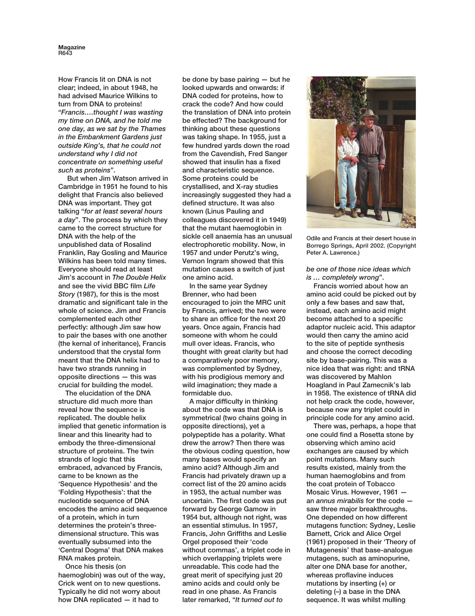## **Magazine R643**

**How Francis lit on DNA is not clear; indeed, in about 1948, he had advised Maurice Wilkins to turn from DNA to proteins! "***Francis….thought I was wasting my time on DNA, and he told me one day, as we sat by the Thames in the Embankment Gardens just outside King's, that he could not understand why I did not concentrate on something useful such as proteins***".**

**But when Jim Watson arrived in Cambridge in 1951 he found to his delight that Francis also believed DNA was important. They got talking "***for at least several hours a day***". The process by which they came to the correct structure for DNA with the help of the unpublished data of Rosalind Franklin, Ray Gosling and Maurice Wilkins has been told many times. Everyone should read at least Jim's account in** *The Double Helix* **and see the vivid BBC film** *Life Story* **(1987), for this is the most dramatic and significant tale in the whole of science. Jim and Francis complemented each other perfectly: although Jim saw how to pair the bases with one another (the kernal of inheritance), Francis understood that the crystal form meant that the DNA helix had to have two strands running in opposite directions — this was crucial for building the model.** 

**The elucidation of the DNA structure did much more than reveal how the sequence is replicated. The double helix implied that genetic information is linear and this linearity had to embody the three-dimensional structure of proteins. The twin strands of logic that this embraced, advanced by Francis, came to be known as the 'Sequence Hypothesis' and the 'Folding Hypothesis': that the nucleotide sequence of DNA encodes the amino acid sequence of a protein, which in turn determines the protein's threedimensional structure. This was eventually subsumed into the 'Central Dogma' that DNA makes RNA makes protein.**

**Once his thesis (on haemoglobin) was out of the way, Crick went on to new questions. Typically he did not worry about how DNA replicated — it had to**

**be done by base pairing — but he looked upwards and onwards: if DNA coded for proteins, how to crack the code? And how could the translation of DNA into protein be effected? The background for thinking about these questions was taking shape. In 1955, just a few hundred yards down the road from the Cavendish, Fred Sanger showed that insulin has a fixed and characteristic sequence. Some proteins could be crystallised, and X-ray studies increasingly suggested they had a defined structure. It was also known (Linus Pauling and colleagues discovered it in 1949) that the mutant haemoglobin in sickle cell anaemia has an unusual electrophoretic mobility. Now, in 1957 and under Perutz's wing, Vernon Ingram showed that this mutation causes a switch of just one amino acid.** 

**In the same year Sydney Brenner, who had been encouraged to join the MRC unit by Francis, arrived; the two were to share an office for the next 20 years. Once again, Francis had someone with whom he could mull over ideas. Francis, who thought with great clarity but had a comparatively poor memory, was complemented by Sydney, with his prodigious memory and wild imagination; they made a formidable duo.** 

**A major difficulty in thinking about the code was that DNA is symmetrical (two chains going in opposite directions), yet a polypeptide has a polarity. What drew the arrow? Then there was the obvious coding question, how many bases would specify an amino acid? Although Jim and Francis had privately drawn up a correct list of the 20 amino acids in 1953, the actual number was uncertain. The first code was put forward by George Gamow in 1954 but, although not right, was an essential stimulus. In 1957, Francis, John Griffiths and Leslie Orgel proposed their 'code without commas', a triplet code in which overlapping triplets were unreadable. This code had the great merit of specifying just 20 amino acids and could only be read in one phase. As Francis later remarked, "***It turned out to*



**Odile and Francis at their desert house in Borrego Springs, April 2002. (Copyright Peter A. Lawrence.)**

*be one of those nice ideas which is … completely wrong***".**

**Francis worried about how an amino acid could be picked out by only a few bases and saw that, instead, each amino acid might become attached to a specific adaptor nucleic acid. This adaptor would then carry the amino acid to the site of peptide synthesis and choose the correct decoding site by base-pairing. This was a nice idea that was right: and tRNA was discovered by Mahlon Hoagland in Paul Zamecnik's lab in 1958. The existence of tRNA did not help crack the code, however, because now any triplet could in principle code for any amino acid.**

**There was, perhaps, a hope that one could find a Rosetta stone by observing which amino acid exchanges are caused by which point mutations. Many such results existed, mainly from the human haemoglobins and from the coat protein of Tobacco Mosaic Virus. However, 1961 an** *annus mirabilis* **for the code saw three major breakthroughs. One depended on how different mutagens function: Sydney, Leslie Barnett, Crick and Alice Orgel (1961) proposed in their 'Theory of Mutagenesis' that base-analogue mutagens, such as aminopurine, alter one DNA base for another, whereas proflavine induces mutations by inserting (+) or deleting (–) a base in the DNA sequence. It was whilst mulling**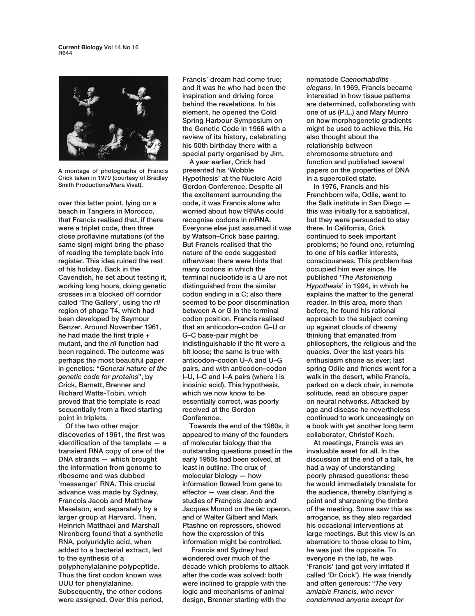

**A montage of photographs of Francis Crick taken in 1979 (courtesy of Bradley Smith Productions/Mara Vivat).**

**over this latter point, lying on a beach in Tangiers in Morocco, that Francis realised that, if there were a triplet code, then three close proflavine mutations (of the same sign) might bring the phase of reading the template back into register. This idea ruined the rest of his holiday. Back in the Cavendish, he set about testing it, working long hours, doing genetic crosses in a blocked off corridor called 'The Gallery', using the** *rII* **region of phage T4, which had been developed by Seymour Benzer. Around November 1961, he had made the first triple + mutant, and the** *rII* **function had been regained. The outcome was perhaps the most beautiful paper in genetics: "***General nature of the genetic code for proteins***", by Crick, Barnett, Brenner and Richard Watts-Tobin, which proved that the template is read sequentially from a fixed starting point in triplets.**

**Of the two other major discoveries of 1961, the first was identification of the template — a transient RNA copy of one of the DNA strands — which brought the information from genome to ribosome and was dubbed 'messenger' RNA. This crucial advance was made by Sydney, Francois Jacob and Matthew Meselson, and separately by a larger group at Harvard. Then, Heinrich Matthaei and Marshall Nirenberg found that a synthetic RNA, polyuridylic acid, when added to a bacterial extract, led to the synthesis of a polyphenylalanine polypeptide. Thus the first codon known was UUU for phenylalanine. Subsequently, the other codons were assigned. Over this period,**

**Francis' dream had come true; and it was he who had been the inspiration and driving force behind the revelations. In his element, he opened the Cold Spring Harbour Symposium on the Genetic Code in 1966 with a review of its history, celebrating his 50th birthday there with a special party organised by Jim.**

**A year earlier, Crick had presented his 'Wobble Hypothesis' at the Nucleic Acid Gordon Conference. Despite all the excitement surrounding the code, it was Francis alone who worried about how tRNAs could recognise codons in mRNA. Everyone else just assumed it was by Watson–Crick base pairing. But Francis realised that the nature of the code suggested otherwise: there were hints that many codons in which the terminal nucleotide is a U are not distinguished from the similar codon ending in a C; also there seemed to be poor discrimination between A or G in the terminal codon position. Francis realised that an anticodon–codon G–U or G–C base-pair might be indistinguishable if the fit were a bit loose; the same is true with anticodon–codon U–A and U–G pairs, and with anticodon–codon I–U, I–C and I–A pairs (where I is inosinic acid). This hypothesis, which we now know to be essentially correct, was poorly received at the Gordon Conference.** 

**Towards the end of the 1960s, it appeared to many of the founders of molecular biology that the outstanding questions posed in the early 1950s had been solved, at least in outline. The crux of molecular biology — how information flowed from gene to effector — was clear. And the studies of François Jacob and Jacques Monod on the** *lac* **operon, and of Walter Gilbert and Mark Ptashne on repressors, showed how the expression of this information might be controlled.**

**Francis and Sydney had wondered over much of the decade which problems to attack after the code was solved: both were inclined to grapple with the logic and mechanisms of animal design, Brenner starting with the**

**nematode** *Caenorhabditis elegans***. In 1969, Francis became interested in how tissue patterns are determined, collaborating with one of us (P.L.) and Mary Munro on how morphogenetic gradients might be used to achieve this. He also thought about the relationship between chromosome structure and function and published several papers on the properties of DNA in a supercoiled state.** 

**In 1976, Francis and his Frenchborn wife, Odile, went to the Salk institute in San Diego this was initially for a sabbatical, but they were persuaded to stay there. In California, Crick continued to seek important problems; he found one, returning to one of his earlier interests, consciousness. This problem has occupied him ever since. He published '***The Astonishing Hypothesis***' in 1994, in which he explains the matter to the general reader. In this area, more than before, he found his rational approach to the subject coming up against clouds of dreamy thinking that emanated from philosophers, the religious and the quacks. Over the last years his enthusiasm shone as ever; last spring Odile and friends went for a walk in the desert, while Francis, parked on a deck chair, in remote solitude, read an obscure paper on neural networks. Attacked by age and disease he nevertheless continued to work unceasingly on a book with yet another long term collaborator, Christof Koch.**

**At meetings, Francis was an invaluable asset for all. In the discussion at the end of a talk, he had a way of understanding poorly phrased questions: these he would immediately translate for the audience, thereby clarifying a point and sharpening the timbre of the meeting. Some saw this as arrogance, as they also regarded his occasional interventions at large meetings. But this view is an aberration: to those close to him, he was just the opposite. To everyone in the lab, he was 'Francis' (and got very irritated if called 'Dr Crick'). He was friendly and often generous: "***The very amiable Francis, who never condemned anyone except for*